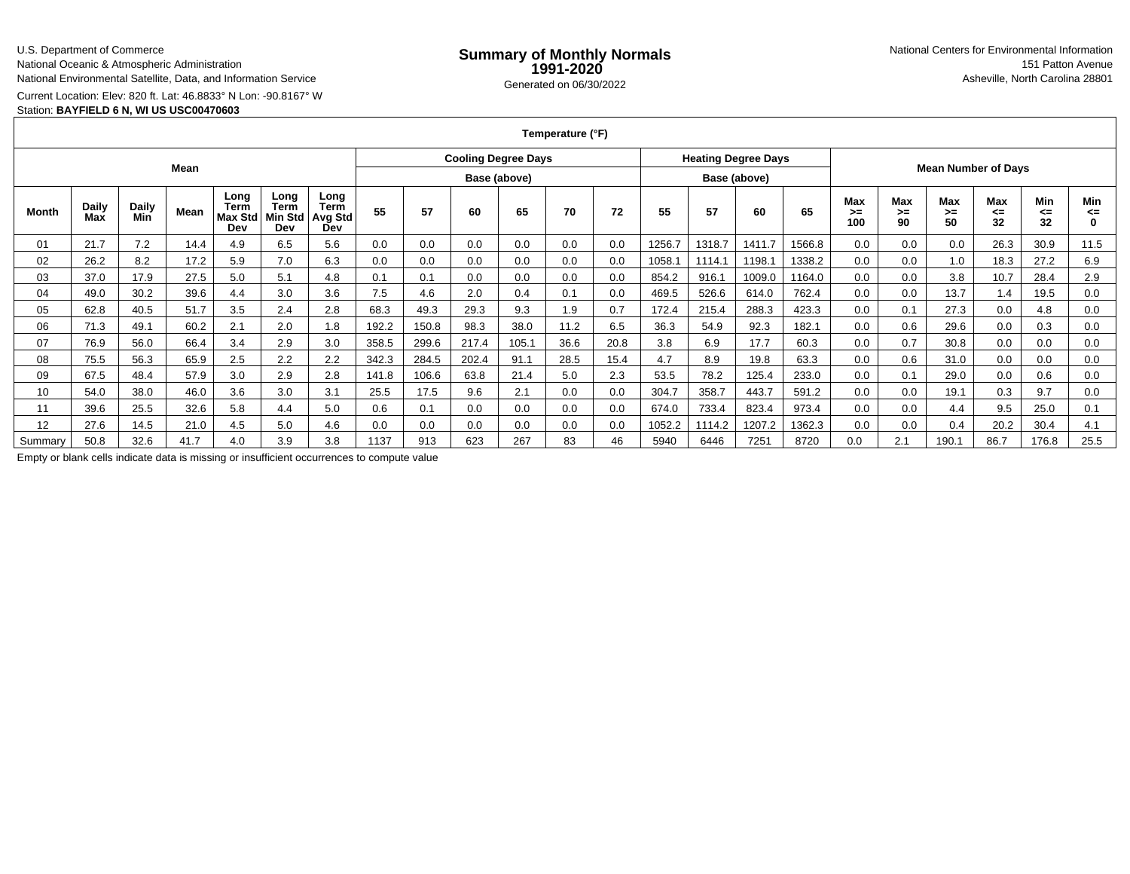### U.S. Department of Commerce

National Oceanic & Atmospheric Administration

National Environmental Satellite, Data, and Information Service

Current Location: Elev: 820 ft. Lat: 46.8833° N Lon: -90.8167° W

## Station: **BAYFIELD 6 N, WI US USC00470603**

**Temperature (°F)**

| Mean    |                     |              |      |                                |                                |                                              |              | <b>Cooling Degree Days</b> |       |       |      |              |        | <b>Heating Degree Days</b> |        |                            |                         |                   |                        |                 |                 |                          |
|---------|---------------------|--------------|------|--------------------------------|--------------------------------|----------------------------------------------|--------------|----------------------------|-------|-------|------|--------------|--------|----------------------------|--------|----------------------------|-------------------------|-------------------|------------------------|-----------------|-----------------|--------------------------|
|         |                     |              |      |                                |                                |                                              | Base (above) |                            |       |       |      | Base (above) |        |                            |        | <b>Mean Number of Days</b> |                         |                   |                        |                 |                 |                          |
| Month   | <b>Daily</b><br>Max | Daily<br>Min | Mean | Long<br>Term<br>Max Std<br>Dev | Long<br>Term<br>Min Std<br>Dev | Long<br><b>Term</b><br><b>Avg Std</b><br>Dev | 55           | 57                         | 60    | 65    | 70   | 72           | 55     | 57                         | 60     | 65                         | <b>Max</b><br>>≕<br>100 | Max<br>$>=$<br>90 | <b>Max</b><br>≻=<br>50 | Max<br><=<br>32 | Min<br><=<br>32 | Min<br><=<br>$\mathbf 0$ |
| 01      | 21.7                | 7.2          | 14.4 | 4.9                            | 6.5                            | 5.6                                          | 0.0          | 0.0                        | 0.0   | 0.0   | 0.0  | 0.0          | 1256.7 | 1318.7                     | 1411.7 | 1566.8                     | 0.0                     | 0.0               | 0.0                    | 26.3            | 30.9            | 11.5                     |
| 02      | 26.2                | 8.2          | 17.2 | 5.9                            | 7.0                            | 6.3                                          | 0.0          | 0.0                        | 0.0   | 0.0   | 0.0  | 0.0          | 1058.  | 1114.1                     | 1198.1 | 1338.2                     | 0.0                     | 0.0               | 1.0                    | 18.3            | 27.2            | 6.9                      |
| 03      | 37.0                | 17.9         | 27.5 | 5.0                            | 5.1                            | 4.8                                          | 0.1          | 0.1                        | 0.0   | 0.0   | 0.0  | 0.0          | 854.2  | 916.1                      | 1009.0 | 1164.0                     | 0.0                     | 0.0               | 3.8                    | 10.7            | 28.4            | 2.9                      |
| 04      | 49.0                | 30.2         | 39.6 | 4.4                            | 3.0                            | 3.6                                          | 7.5          | 4.6                        | 2.0   | 0.4   | 0.1  | 0.0          | 469.5  | 526.6                      | 614.0  | 762.4                      | 0.0                     | 0.0               | 13.7                   | 1.4             | 19.5            | 0.0                      |
| 05      | 62.8                | 40.5         | 51.7 | 3.5                            | 2.4                            | 2.8                                          | 68.3         | 49.3                       | 29.3  | 9.3   | 1.9  | 0.7          | 172.4  | 215.4                      | 288.3  | 423.3                      | 0.0                     | 0.1               | 27.3                   | 0.0             | 4.8             | 0.0                      |
| 06      | 71.3                | 49.1         | 60.2 | 2.1                            | 2.0                            | 1.8                                          | 192.2        | 150.8                      | 98.3  | 38.0  | 11.2 | 6.5          | 36.3   | 54.9                       | 92.3   | 182.1                      | 0.0                     | 0.6               | 29.6                   | 0.0             | 0.3             | 0.0                      |
| 07      | 76.9                | 56.0         | 66.4 | 3.4                            | 2.9                            | 3.0                                          | 358.5        | 299.6                      | 217.4 | 105.1 | 36.6 | 20.8         | 3.8    | 6.9                        | 17.7   | 60.3                       | 0.0                     | 0.7               | 30.8                   | 0.0             | 0.0             | 0.0                      |
| 08      | 75.5                | 56.3         | 65.9 | 2.5                            | 2.2                            | 2.2                                          | 342.3        | 284.5                      | 202.4 | 91.1  | 28.5 | 15.4         | 4.7    | 8.9                        | 19.8   | 63.3                       | 0.0                     | 0.6               | 31.0                   | 0.0             | 0.0             | 0.0                      |
| 09      | 67.5                | 48.4         | 57.9 | 3.0                            | 2.9                            | 2.8                                          | 141.8        | 106.6                      | 63.8  | 21.4  | 5.0  | 2.3          | 53.5   | 78.2                       | 125.4  | 233.0                      | 0.0                     | 0.1               | 29.0                   | 0.0             | 0.6             | 0.0                      |
| 10      | 54.0                | 38.0         | 46.0 | 3.6                            | 3.0                            | 3.1                                          | 25.5         | 17.5                       | 9.6   | 2.1   | 0.0  | 0.0          | 304.7  | 358.7                      | 443.7  | 591.2                      | 0.0                     | 0.0               | 19.1                   | 0.3             | 9.7             | 0.0                      |
| 11      | 39.6                | 25.5         | 32.6 | 5.8                            | 4.4                            | 5.0                                          | 0.6          | 0.1                        | 0.0   | 0.0   | 0.0  | 0.0          | 674.0  | 733.4                      | 823.4  | 973.4                      | 0.0                     | 0.0               | 4.4                    | 9.5             | 25.0            | 0.1                      |
| 12      | 27.6                | 14.5         | 21.0 | 4.5                            | 5.0                            | 4.6                                          | 0.0          | 0.0                        | 0.0   | 0.0   | 0.0  | 0.0          | 1052.2 | 1114.2                     | 1207.2 | 1362.3                     | 0.0                     | 0.0               | 0.4                    | 20.2            | 30.4            | 4.1                      |
| Summary | 50.8                | 32.6         | 41.7 | 4.0                            | 3.9                            | 3.8                                          | 1137         | 913                        | 623   | 267   | 83   | 46           | 5940   | 6446                       | 7251   | 8720                       | 0.0                     | 2.1               | 190.1                  | 86.7            | 176.8           | 25.5                     |

Empty or blank cells indicate data is missing or insufficient occurrences to compute value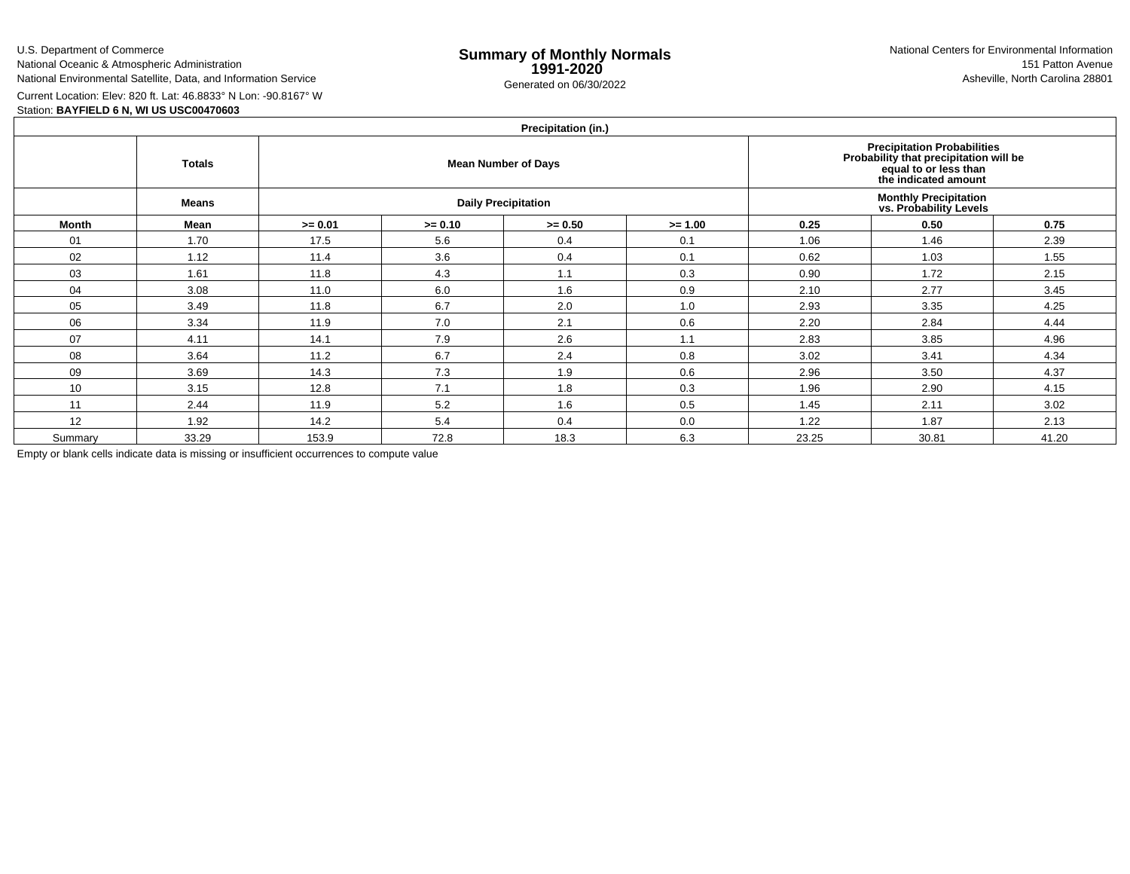U.S. Department of Commerce

National Oceanic & Atmospheric AdministrationNational Environmental Satellite, Data, and Information Service

e **Summary of Monthly Normals**<br> **1991-2020** 151 Patton Avenue **1991-2020** 1997-2020 e Generated on 06/30/2022 Asheville, North Carolina 28801 National Centers for Environmental Information151 Patton Avenue

Current Location: Elev: 820 ft. Lat: 46.8833° N Lon: -90.8167° W

## Station: **BAYFIELD 6 N, WI US USC00470603**

# **Precipitation (in.)**

|         | <b>Totals</b> |           |           | $\cdots$<br><b>Mean Number of Days</b> | Precipitation Probabilities<br>Probability that precipitation will be<br>equal to or less than<br>the indicated amount |       |                                                         |       |  |
|---------|---------------|-----------|-----------|----------------------------------------|------------------------------------------------------------------------------------------------------------------------|-------|---------------------------------------------------------|-------|--|
|         | <b>Means</b>  |           |           | <b>Daily Precipitation</b>             |                                                                                                                        |       | <b>Monthly Precipitation<br/>vs. Probability Levels</b> |       |  |
| Month   | Mean          | $>= 0.01$ | $>= 0.10$ | $>= 0.50$                              | $>= 1.00$                                                                                                              | 0.25  | 0.50                                                    | 0.75  |  |
| 01      | 1.70          | 17.5      | 5.6       | 0.4                                    | 0.1                                                                                                                    | 1.06  | 1.46                                                    | 2.39  |  |
| 02      | 1.12          | 11.4      | 3.6       | 0.4                                    | 0.1                                                                                                                    | 0.62  | 1.03                                                    | 1.55  |  |
| 03      | 1.61          | 11.8      | 4.3       | 1.1                                    | 0.3                                                                                                                    | 0.90  | 1.72                                                    | 2.15  |  |
| 04      | 3.08          | 11.0      | 6.0       | 1.6                                    | 0.9                                                                                                                    | 2.10  | 2.77                                                    | 3.45  |  |
| 05      | 3.49          | 11.8      | 6.7       | 2.0                                    | 1.0                                                                                                                    | 2.93  | 3.35                                                    | 4.25  |  |
| 06      | 3.34          | 11.9      | 7.0       | 2.1                                    | 0.6                                                                                                                    | 2.20  | 2.84                                                    | 4.44  |  |
| 07      | 4.11          | 14.1      | 7.9       | 2.6                                    | 1.1                                                                                                                    | 2.83  | 3.85                                                    | 4.96  |  |
| 08      | 3.64          | 11.2      | 6.7       | 2.4                                    | 0.8                                                                                                                    | 3.02  | 3.41                                                    | 4.34  |  |
| 09      | 3.69          | 14.3      | 7.3       | 1.9                                    | 0.6                                                                                                                    | 2.96  | 3.50                                                    | 4.37  |  |
| 10      | 3.15          | 12.8      | 7.1       | 1.8                                    | 0.3                                                                                                                    | 1.96  | 2.90                                                    | 4.15  |  |
| 11      | 2.44          | 11.9      | 5.2       | 1.6                                    | 0.5                                                                                                                    | 1.45  | 2.11                                                    | 3.02  |  |
| 12      | 1.92          | 14.2      | 5.4       | 0.4                                    | 0.0                                                                                                                    | 1.22  | 1.87                                                    | 2.13  |  |
| Summary | 33.29         | 153.9     | 72.8      | 18.3                                   | 6.3                                                                                                                    | 23.25 | 30.81                                                   | 41.20 |  |

Empty or blank cells indicate data is missing or insufficient occurrences to compute value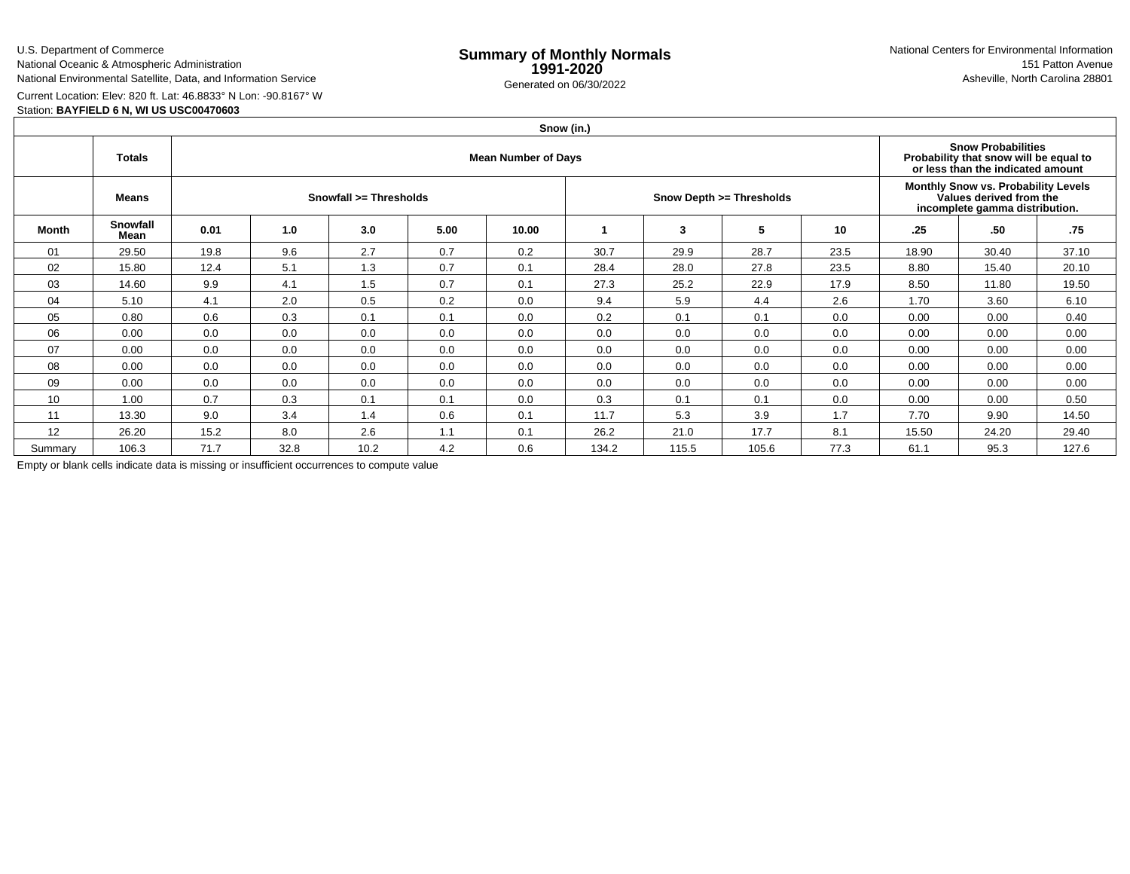U.S. Department of Commerce

National Oceanic & Atmospheric Administration

## National Environmental Satellite, Data, and Information Service

e **Summary of Monthly Normals**<br> **1991-2020** 151 Patton Avenue **1991-2020** 1997-2020 e Generated on 06/30/2022 Asheville, North Carolina 28801 National Centers for Environmental Information151 Patton Avenue

Current Location: Elev: 820 ft. Lat: 46.8833° N Lon: -90.8167° W

## Station: **BAYFIELD 6 N, WI US USC00470603**

|                 | Snow (in.)       |                            |      |                        |      |       |       |       |                          |      |                                                                                                  |                                                                                                          |       |  |  |
|-----------------|------------------|----------------------------|------|------------------------|------|-------|-------|-------|--------------------------|------|--------------------------------------------------------------------------------------------------|----------------------------------------------------------------------------------------------------------|-------|--|--|
|                 | <b>Totals</b>    | <b>Mean Number of Days</b> |      |                        |      |       |       |       |                          |      |                                                                                                  | <b>Snow Probabilities</b><br>Probability that snow will be equal to<br>or less than the indicated amount |       |  |  |
|                 | Means            |                            |      | Snowfall >= Thresholds |      |       |       |       | Snow Depth >= Thresholds |      | Monthly Snow vs. Probability Levels<br>Values derived from the<br>incomplete gamma distribution. |                                                                                                          |       |  |  |
| Month           | Snowfall<br>Mean | 0.01                       | 1.0  | 3.0                    | 5.00 | 10.00 |       | 3     | 5                        | 10   | .25                                                                                              | .50                                                                                                      | .75   |  |  |
| 01              | 29.50            | 19.8                       | 9.6  | 2.7                    | 0.7  | 0.2   | 30.7  | 29.9  | 28.7                     | 23.5 | 18.90                                                                                            | 30.40                                                                                                    | 37.10 |  |  |
| 02              | 15.80            | 12.4                       | 5.1  | 1.3                    | 0.7  | 0.1   | 28.4  | 28.0  | 27.8                     | 23.5 | 8.80                                                                                             | 15.40                                                                                                    | 20.10 |  |  |
| 03              | 14.60            | 9.9                        | 4.1  | 1.5                    | 0.7  | 0.1   | 27.3  | 25.2  | 22.9                     | 17.9 | 8.50                                                                                             | 11.80                                                                                                    | 19.50 |  |  |
| 04              | 5.10             | 4.1                        | 2.0  | 0.5                    | 0.2  | 0.0   | 9.4   | 5.9   | 4.4                      | 2.6  | 1.70                                                                                             | 3.60                                                                                                     | 6.10  |  |  |
| 05              | 0.80             | 0.6                        | 0.3  | 0.1                    | 0.1  | 0.0   | 0.2   | 0.1   | 0.1                      | 0.0  | 0.00                                                                                             | 0.00                                                                                                     | 0.40  |  |  |
| 06              | 0.00             | 0.0                        | 0.0  | 0.0                    | 0.0  | 0.0   | 0.0   | 0.0   | 0.0                      | 0.0  | 0.00                                                                                             | 0.00                                                                                                     | 0.00  |  |  |
| 07              | 0.00             | 0.0                        | 0.0  | 0.0                    | 0.0  | 0.0   | 0.0   | 0.0   | 0.0                      | 0.0  | 0.00                                                                                             | 0.00                                                                                                     | 0.00  |  |  |
| 08              | 0.00             | 0.0                        | 0.0  | 0.0                    | 0.0  | 0.0   | 0.0   | 0.0   | 0.0                      | 0.0  | 0.00                                                                                             | 0.00                                                                                                     | 0.00  |  |  |
| 09              | 0.00             | 0.0                        | 0.0  | 0.0                    | 0.0  | 0.0   | 0.0   | 0.0   | 0.0                      | 0.0  | 0.00                                                                                             | 0.00                                                                                                     | 0.00  |  |  |
| 10 <sup>°</sup> | 1.00             | 0.7                        | 0.3  | 0.1                    | 0.1  | 0.0   | 0.3   | 0.1   | 0.1                      | 0.0  | 0.00                                                                                             | 0.00                                                                                                     | 0.50  |  |  |
| 11              | 13.30            | 9.0                        | 3.4  | 1.4                    | 0.6  | 0.1   | 11.7  | 5.3   | 3.9                      | 1.7  | 7.70                                                                                             | 9.90                                                                                                     | 14.50 |  |  |
| 12              | 26.20            | 15.2                       | 8.0  | 2.6                    | 1.1  | 0.1   | 26.2  | 21.0  | 17.7                     | 8.1  | 15.50                                                                                            | 24.20                                                                                                    | 29.40 |  |  |
| Summary         | 106.3            | 71.7                       | 32.8 | 10.2                   | 4.2  | 0.6   | 134.2 | 115.5 | 105.6                    | 77.3 | 61.1                                                                                             | 95.3                                                                                                     | 127.6 |  |  |

Empty or blank cells indicate data is missing or insufficient occurrences to compute value